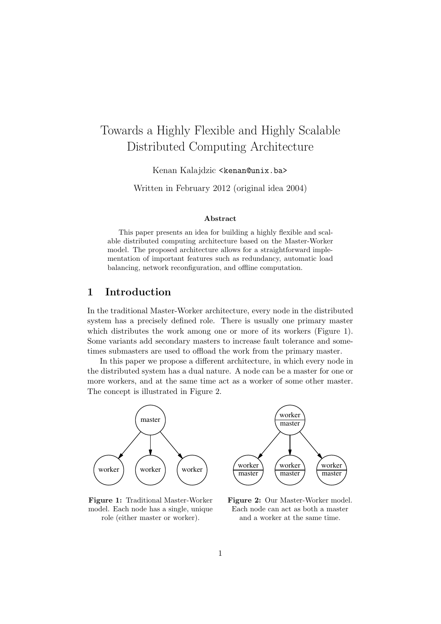# Towards a Highly Flexible and Highly Scalable Distributed Computing Architecture

Kenan Kalajdzic <kenan@unix.ba>

Written in February 2012 (original idea 2004)

#### Abstract

This paper presents an idea for building a highly flexible and scalable distributed computing architecture based on the Master-Worker model. The proposed architecture allows for a straightforward implementation of important features such as redundancy, automatic load balancing, network reconfiguration, and offline computation.

# 1 Introduction

In the traditional Master-Worker architecture, every node in the distributed system has a precisely defined role. There is usually one primary master which distributes the work among one or more of its workers (Figure 1). Some variants add secondary masters to increase fault tolerance and sometimes submasters are used to offload the work from the primary master.

In this paper we propose a different architecture, in which every node in the distributed system has a dual nature. A node can be a master for one or more workers, and at the same time act as a worker of some other master. The concept is illustrated in Figure 2.



Figure 1: Traditional Master-Worker model. Each node has a single, unique role (either master or worker).

Figure 2: Our Master-Worker model. Each node can act as both a master and a worker at the same time.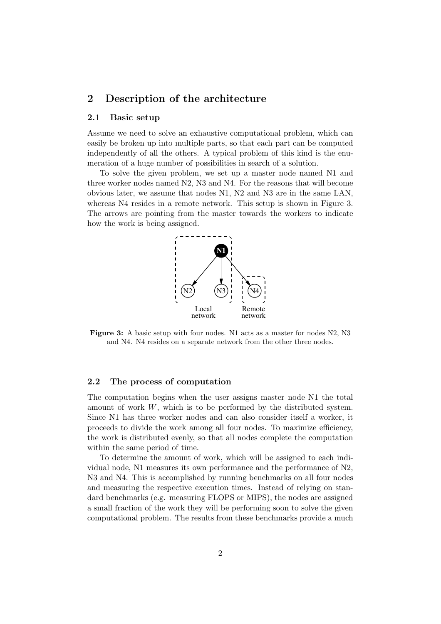# 2 Description of the architecture

### 2.1 Basic setup

Assume we need to solve an exhaustive computational problem, which can easily be broken up into multiple parts, so that each part can be computed independently of all the others. A typical problem of this kind is the enumeration of a huge number of possibilities in search of a solution.

To solve the given problem, we set up a master node named N1 and three worker nodes named N2, N3 and N4. For the reasons that will become obvious later, we assume that nodes N1, N2 and N3 are in the same LAN, whereas N4 resides in a remote network. This setup is shown in Figure 3. The arrows are pointing from the master towards the workers to indicate how the work is being assigned.



Figure 3: A basic setup with four nodes. N1 acts as a master for nodes N2, N3 and N4. N4 resides on a separate network from the other three nodes.

#### 2.2 The process of computation

The computation begins when the user assigns master node N1 the total amount of work  $W$ , which is to be performed by the distributed system. Since N1 has three worker nodes and can also consider itself a worker, it proceeds to divide the work among all four nodes. To maximize efficiency, the work is distributed evenly, so that all nodes complete the computation within the same period of time.

To determine the amount of work, which will be assigned to each individual node, N1 measures its own performance and the performance of N2, N3 and N4. This is accomplished by running benchmarks on all four nodes and measuring the respective execution times. Instead of relying on standard benchmarks (e.g. measuring FLOPS or MIPS), the nodes are assigned a small fraction of the work they will be performing soon to solve the given computational problem. The results from these benchmarks provide a much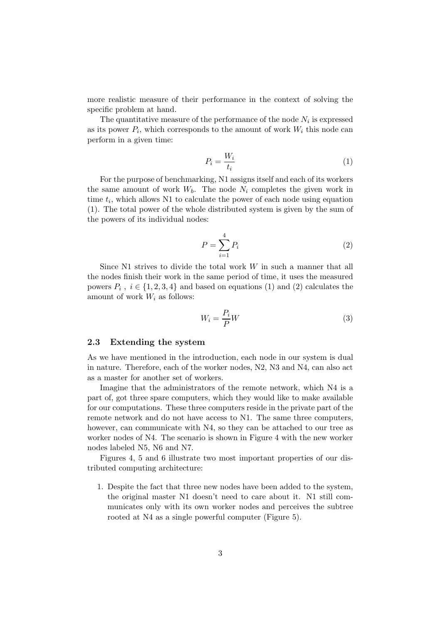more realistic measure of their performance in the context of solving the specific problem at hand.

The quantitative measure of the performance of the node  $N_i$  is expressed as its power  $P_i$ , which corresponds to the amount of work  $W_i$  this node can perform in a given time:

$$
P_i = \frac{W_i}{t_i} \tag{1}
$$

For the purpose of benchmarking, N1 assigns itself and each of its workers the same amount of work  $W_b$ . The node  $N_i$  completes the given work in time  $t_i$ , which allows N1 to calculate the power of each node using equation (1). The total power of the whole distributed system is given by the sum of the powers of its individual nodes:

$$
P = \sum_{i=1}^{4} P_i \tag{2}
$$

Since N1 strives to divide the total work  $W$  in such a manner that all the nodes finish their work in the same period of time, it uses the measured powers  $P_i$ ,  $i \in \{1, 2, 3, 4\}$  and based on equations (1) and (2) calculates the amount of work  $W_i$  as follows:

$$
W_i = \frac{P_i}{P}W\tag{3}
$$

#### 2.3 Extending the system

As we have mentioned in the introduction, each node in our system is dual in nature. Therefore, each of the worker nodes, N2, N3 and N4, can also act as a master for another set of workers.

Imagine that the administrators of the remote network, which N4 is a part of, got three spare computers, which they would like to make available for our computations. These three computers reside in the private part of the remote network and do not have access to N1. The same three computers, however, can communicate with N4, so they can be attached to our tree as worker nodes of N4. The scenario is shown in Figure 4 with the new worker nodes labeled N5, N6 and N7.

Figures 4, 5 and 6 illustrate two most important properties of our distributed computing architecture:

1. Despite the fact that three new nodes have been added to the system, the original master N1 doesn't need to care about it. N1 still communicates only with its own worker nodes and perceives the subtree rooted at N4 as a single powerful computer (Figure 5).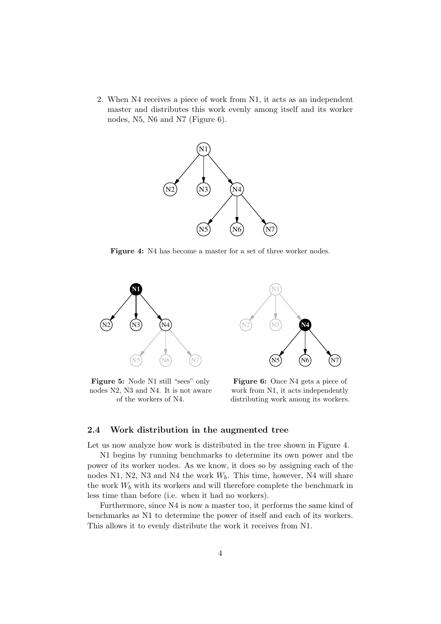2. When N4 receives a piece of work from N1, it acts as an independent master and distributes this work evenly among itself and its worker nodes, N5, N6 and N7 (Figure 6).



Figure 4: N4 has become a master for a set of three worker nodes.



Figure 5: Node N1 still "sees" only nodes N2, N3 and N4. It is not aware of the workers of N4.



Figure 6: Once N4 gets a piece of work from N1, it acts independently distributing work among its workers.

### 2.4 Work distribution in the augmented tree

Let us now analyze how work is distributed in the tree shown in Figure 4.

N1 begins by running benchmarks to determine its own power and the power of its worker nodes. As we know, it does so by assigning each of the nodes N1, N2, N3 and N4 the work  $W<sub>b</sub>$ . This time, however, N4 will share the work  $W_b$  with its workers and will therefore complete the benchmark in less time than before (i.e. when it had no workers).

Furthermore, since N4 is now a master too, it performs the same kind of benchmarks as N1 to determine the power of itself and each of its workers. This allows it to evenly distribute the work it receives from N1.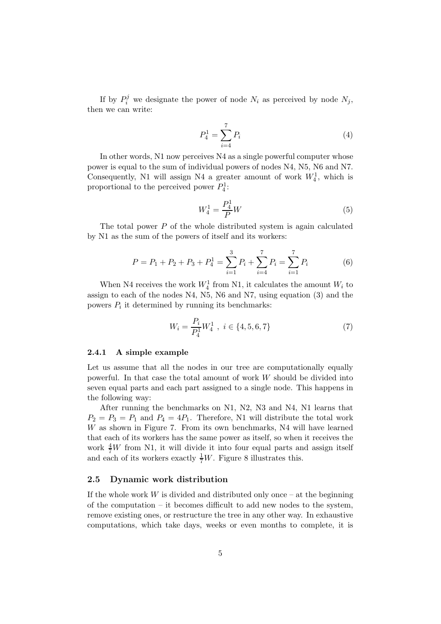If by  $P_i^j$  we designate the power of node  $N_i$  as perceived by node  $N_j$ , then we can write:

$$
P_4^1 = \sum_{i=4}^7 P_i \tag{4}
$$

In other words, N1 now perceives N4 as a single powerful computer whose power is equal to the sum of individual powers of nodes N4, N5, N6 and N7. Consequently, N1 will assign N4 a greater amount of work  $W_4^1$ , which is proportional to the perceived power  $P_4^1$ :

$$
W_4^1 = \frac{P_4^1}{P}W
$$
\n(5)

The total power  $P$  of the whole distributed system is again calculated by N1 as the sum of the powers of itself and its workers:

$$
P = P_1 + P_2 + P_3 + P_4^1 = \sum_{i=1}^3 P_i + \sum_{i=4}^7 P_i = \sum_{i=1}^7 P_i \tag{6}
$$

When N4 receives the work  $W_4^1$  from N1, it calculates the amount  $W_i$  to assign to each of the nodes N4, N5, N6 and N7, using equation (3) and the powers  $P_i$  it determined by running its benchmarks:

$$
W_i = \frac{P_i}{P_4^1} W_4^1 \ , \ i \in \{4, 5, 6, 7\} \tag{7}
$$

#### 2.4.1 A simple example

Let us assume that all the nodes in our tree are computationally equally powerful. In that case the total amount of work  $W$  should be divided into seven equal parts and each part assigned to a single node. This happens in the following way:

After running the benchmarks on N1, N2, N3 and N4, N1 learns that  $P_2 = P_3 = P_1$  and  $P_4 = 4P_1$ . Therefore, N1 will distribute the total work W as shown in Figure 7. From its own benchmarks, N4 will have learned that each of its workers has the same power as itself, so when it receives the work  $\frac{4}{7}W$  from N1, it will divide it into four equal parts and assign itself and each of its workers exactly  $\frac{1}{7}W$ . Figure 8 illustrates this.

#### 2.5 Dynamic work distribution

If the whole work W is divided and distributed only once – at the beginning of the computation – it becomes difficult to add new nodes to the system, remove existing ones, or restructure the tree in any other way. In exhaustive computations, which take days, weeks or even months to complete, it is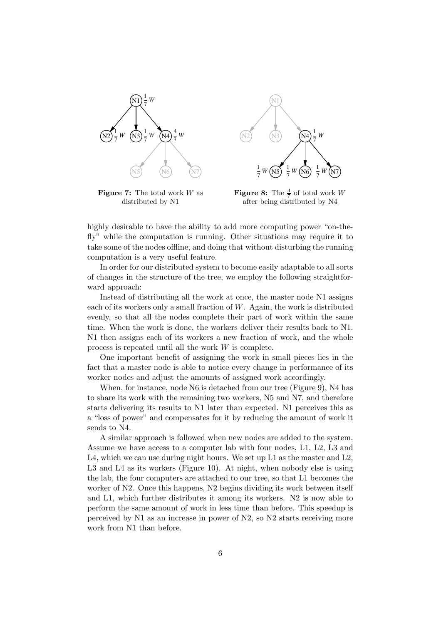

N1  $(N2)$   $(N3)$ 1 7 *W* .<br>N5 1 7  $W(N5) = W(N6)$ 1 7  $W(N6) = W(N7)$ 1 7 *W* (N4)

**Figure 7:** The total work  $W$  as distributed by N1

**Figure 8:** The  $\frac{4}{7}$  of total work W after being distributed by N4

highly desirable to have the ability to add more computing power "on-thefly" while the computation is running. Other situations may require it to take some of the nodes offline, and doing that without disturbing the running computation is a very useful feature.

In order for our distributed system to become easily adaptable to all sorts of changes in the structure of the tree, we employ the following straightforward approach:

Instead of distributing all the work at once, the master node N1 assigns each of its workers only a small fraction of  $W$ . Again, the work is distributed evenly, so that all the nodes complete their part of work within the same time. When the work is done, the workers deliver their results back to N1. N1 then assigns each of its workers a new fraction of work, and the whole process is repeated until all the work W is complete.

One important benefit of assigning the work in small pieces lies in the fact that a master node is able to notice every change in performance of its worker nodes and adjust the amounts of assigned work accordingly.

When, for instance, node N6 is detached from our tree (Figure 9), N4 has to share its work with the remaining two workers, N5 and N7, and therefore starts delivering its results to N1 later than expected. N1 perceives this as a "loss of power" and compensates for it by reducing the amount of work it sends to N4.

A similar approach is followed when new nodes are added to the system. Assume we have access to a computer lab with four nodes, L1, L2, L3 and L4, which we can use during night hours. We set up L1 as the master and L2, L3 and L4 as its workers (Figure 10). At night, when nobody else is using the lab, the four computers are attached to our tree, so that L1 becomes the worker of N2. Once this happens, N2 begins dividing its work between itself and L1, which further distributes it among its workers. N2 is now able to perform the same amount of work in less time than before. This speedup is perceived by N1 as an increase in power of N2, so N2 starts receiving more work from N1 than before.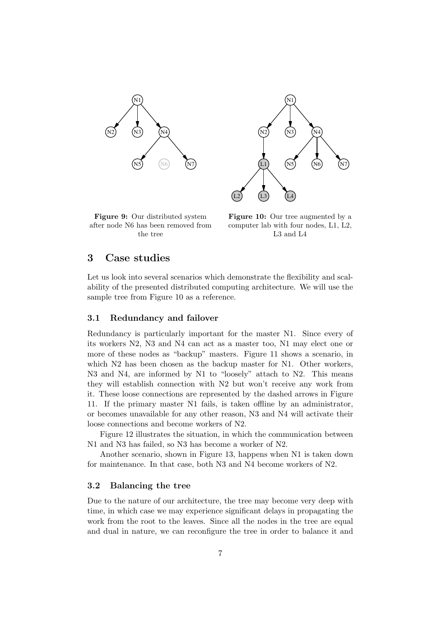



Figure 9: Our distributed system after node N6 has been removed from the tree

Figure 10: Our tree augmented by a computer lab with four nodes, L1, L2, L3 and L4

# 3 Case studies

Let us look into several scenarios which demonstrate the flexibility and scalability of the presented distributed computing architecture. We will use the sample tree from Figure 10 as a reference.

## 3.1 Redundancy and failover

Redundancy is particularly important for the master N1. Since every of its workers N2, N3 and N4 can act as a master too, N1 may elect one or more of these nodes as "backup" masters. Figure 11 shows a scenario, in which N2 has been chosen as the backup master for N1. Other workers, N3 and N4, are informed by N1 to "loosely" attach to N2. This means they will establish connection with N2 but won't receive any work from it. These loose connections are represented by the dashed arrows in Figure 11. If the primary master N1 fails, is taken offline by an administrator, or becomes unavailable for any other reason, N3 and N4 will activate their loose connections and become workers of N2.

Figure 12 illustrates the situation, in which the communication between N1 and N3 has failed, so N3 has become a worker of N2.

Another scenario, shown in Figure 13, happens when N1 is taken down for maintenance. In that case, both N3 and N4 become workers of N2.

## 3.2 Balancing the tree

Due to the nature of our architecture, the tree may become very deep with time, in which case we may experience significant delays in propagating the work from the root to the leaves. Since all the nodes in the tree are equal and dual in nature, we can reconfigure the tree in order to balance it and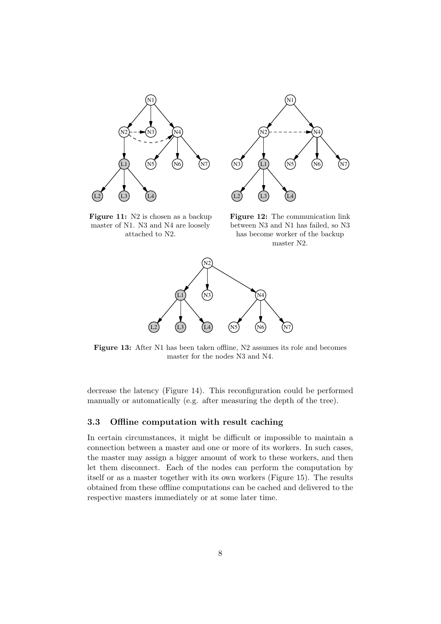



Figure 11: N2 is chosen as a backup master of N1. N3 and N4 are loosely attached to N2.

Figure 12: The communication link between N3 and N1 has failed, so N3 has become worker of the backup master N2.



Figure 13: After N1 has been taken offline, N2 assumes its role and becomes master for the nodes N3 and N4.

decrease the latency (Figure 14). This reconfiguration could be performed manually or automatically (e.g. after measuring the depth of the tree).

# 3.3 Offline computation with result caching

In certain circumstances, it might be difficult or impossible to maintain a connection between a master and one or more of its workers. In such cases, the master may assign a bigger amount of work to these workers, and then let them disconnect. Each of the nodes can perform the computation by itself or as a master together with its own workers (Figure 15). The results obtained from these offline computations can be cached and delivered to the respective masters immediately or at some later time.